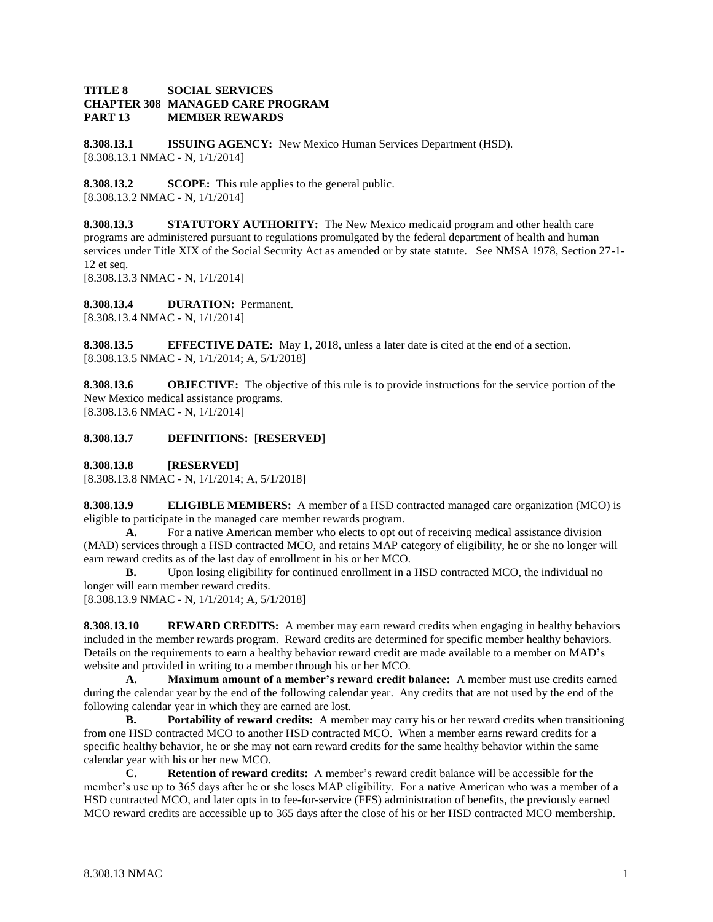## **TITLE 8 SOCIAL SERVICES CHAPTER 308 MANAGED CARE PROGRAM PART 13 MEMBER REWARDS**

**8.308.13.1 ISSUING AGENCY:** New Mexico Human Services Department (HSD). [8.308.13.1 NMAC - N, 1/1/2014]

**8.308.13.2 SCOPE:** This rule applies to the general public. [8.308.13.2 NMAC - N, 1/1/2014]

**8.308.13.3 STATUTORY AUTHORITY:** The New Mexico medicaid program and other health care programs are administered pursuant to regulations promulgated by the federal department of health and human services under Title XIX of the Social Security Act as amended or by state statute. See NMSA 1978, Section 27-1- 12 et seq. [8.308.13.3 NMAC - N, 1/1/2014]

**8.308.13.4 DURATION:** Permanent. [8.308.13.4 NMAC - N, 1/1/2014]

**8.308.13.5 EFFECTIVE DATE:** May 1, 2018, unless a later date is cited at the end of a section. [8.308.13.5 NMAC - N, 1/1/2014; A, 5/1/2018]

**8.308.13.6 OBJECTIVE:** The objective of this rule is to provide instructions for the service portion of the New Mexico medical assistance programs. [8.308.13.6 NMAC - N, 1/1/2014]

## **8.308.13.7 DEFINITIONS:** [**RESERVED**]

**8.308.13.8 [RESERVED]**

[8.308.13.8 NMAC - N, 1/1/2014; A, 5/1/2018]

**8.308.13.9 ELIGIBLE MEMBERS:** A member of a HSD contracted managed care organization (MCO) is eligible to participate in the managed care member rewards program.

**A.** For a native American member who elects to opt out of receiving medical assistance division (MAD) services through a HSD contracted MCO, and retains MAP category of eligibility, he or she no longer will earn reward credits as of the last day of enrollment in his or her MCO.

**B.** Upon losing eligibility for continued enrollment in a HSD contracted MCO, the individual no longer will earn member reward credits.

[8.308.13.9 NMAC - N, 1/1/2014; A, 5/1/2018]

**8.308.13.10 REWARD CREDITS:** A member may earn reward credits when engaging in healthy behaviors included in the member rewards program. Reward credits are determined for specific member healthy behaviors. Details on the requirements to earn a healthy behavior reward credit are made available to a member on MAD's website and provided in writing to a member through his or her MCO.

**A. Maximum amount of a member's reward credit balance:** A member must use credits earned during the calendar year by the end of the following calendar year. Any credits that are not used by the end of the following calendar year in which they are earned are lost.

**B. Portability of reward credits:** A member may carry his or her reward credits when transitioning from one HSD contracted MCO to another HSD contracted MCO. When a member earns reward credits for a specific healthy behavior, he or she may not earn reward credits for the same healthy behavior within the same calendar year with his or her new MCO.

**C. Retention of reward credits:** A member's reward credit balance will be accessible for the member's use up to 365 days after he or she loses MAP eligibility. For a native American who was a member of a HSD contracted MCO, and later opts in to fee-for-service (FFS) administration of benefits, the previously earned MCO reward credits are accessible up to 365 days after the close of his or her HSD contracted MCO membership.